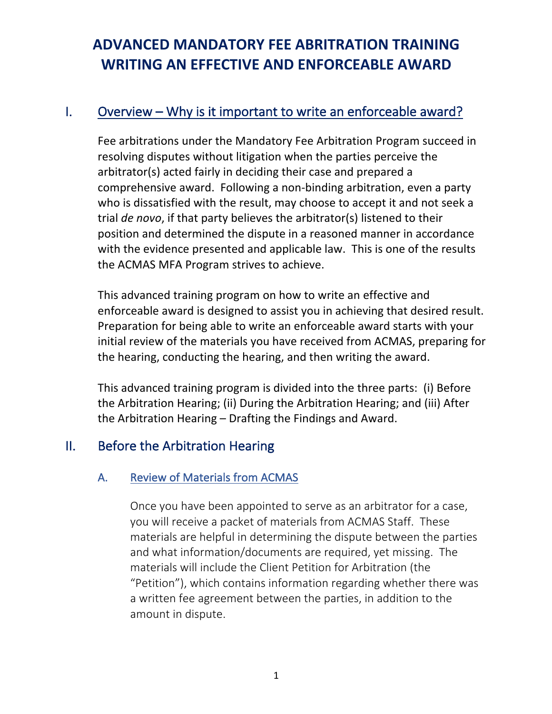# **ADVANCED MANDATORY FEE ABRITRATION TRAINING WRITING AN EFFECTIVE AND ENFORCEABLE AWARD**

# I. Overview – Why is it important to write an enforceable award?

Fee arbitrations under the Mandatory Fee Arbitration Program succeed in resolving disputes without litigation when the parties perceive the arbitrator(s) acted fairly in deciding their case and prepared a comprehensive award. Following a non-binding arbitration, even a party who is dissatisfied with the result, may choose to accept it and not seek a trial *de novo*, if that party believes the arbitrator(s) listened to their position and determined the dispute in a reasoned manner in accordance with the evidence presented and applicable law. This is one of the results the ACMAS MFA Program strives to achieve.

This advanced training program on how to write an effective and enforceable award is designed to assist you in achieving that desired result. Preparation for being able to write an enforceable award starts with your initial review of the materials you have received from ACMAS, preparing for the hearing, conducting the hearing, and then writing the award.

This advanced training program is divided into the three parts: (i) Before the Arbitration Hearing; (ii) During the Arbitration Hearing; and (iii) After the Arbitration Hearing – Drafting the Findings and Award.

# II. Before the Arbitration Hearing

#### A. Review of Materials from ACMAS

Once you have been appointed to serve as an arbitrator for a case, you will receive a packet of materials from ACMAS Staff. These materials are helpful in determining the dispute between the parties and what information/documents are required, yet missing. The materials will include the Client Petition for Arbitration (the "Petition"), which contains information regarding whether there was a written fee agreement between the parties, in addition to the amount in dispute.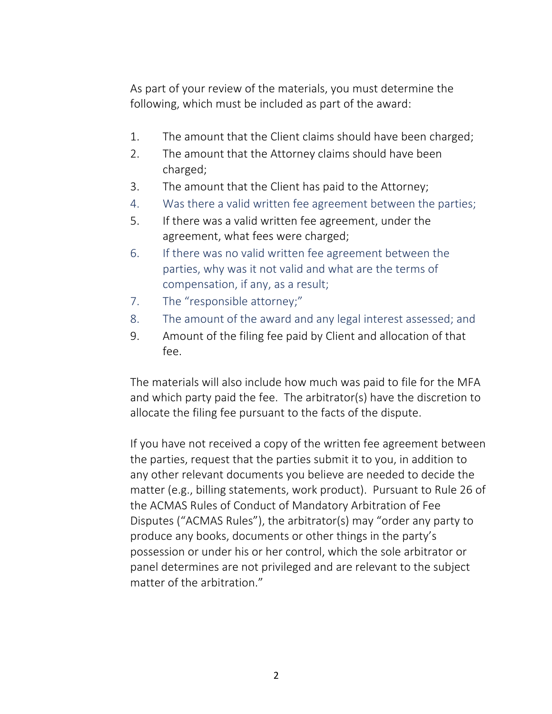As part of your review of the materials, you must determine the following, which must be included as part of the award:

- 1. The amount that the Client claims should have been charged;
- 2. The amount that the Attorney claims should have been charged;
- 3. The amount that the Client has paid to the Attorney;
- 4. Was there a valid written fee agreement between the parties;
- 5. If there was a valid written fee agreement, under the agreement, what fees were charged;
- 6. If there was no valid written fee agreement between the parties, why was it not valid and what are the terms of compensation, if any, as a result;
- 7. The "responsible attorney;"
- 8. The amount of the award and any legal interest assessed; and
- 9. Amount of the filing fee paid by Client and allocation of that fee.

The materials will also include how much was paid to file for the MFA and which party paid the fee. The arbitrator(s) have the discretion to allocate the filing fee pursuant to the facts of the dispute.

If you have not received a copy of the written fee agreement between the parties, request that the parties submit it to you, in addition to any other relevant documents you believe are needed to decide the matter (e.g., billing statements, work product). Pursuant to Rule 26 of the ACMAS Rules of Conduct of Mandatory Arbitration of Fee Disputes ("ACMAS Rules"), the arbitrator(s) may "order any party to produce any books, documents or other things in the party's possession or under his or her control, which the sole arbitrator or panel determines are not privileged and are relevant to the subject matter of the arbitration."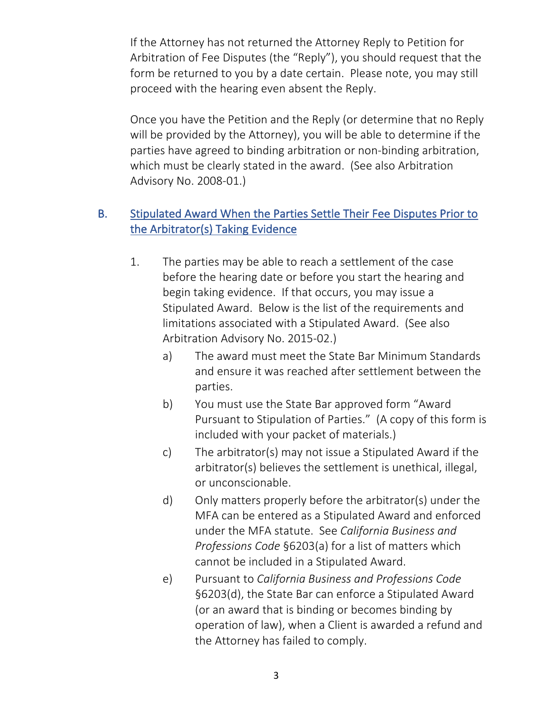If the Attorney has not returned the Attorney Reply to Petition for Arbitration of Fee Disputes (the "Reply"), you should request that the form be returned to you by a date certain. Please note, you may still proceed with the hearing even absent the Reply.

Once you have the Petition and the Reply (or determine that no Reply will be provided by the Attorney), you will be able to determine if the parties have agreed to binding arbitration or non-binding arbitration, which must be clearly stated in the award. (See also Arbitration Advisory No. 2008-01.)

### B. Stipulated Award When the Parties Settle Their Fee Disputes Prior to the Arbitrator(s) Taking Evidence

- 1. The parties may be able to reach a settlement of the case before the hearing date or before you start the hearing and begin taking evidence. If that occurs, you may issue a Stipulated Award. Below is the list of the requirements and limitations associated with a Stipulated Award. (See also Arbitration Advisory No. 2015-02.)
	- a) The award must meet the State Bar Minimum Standards and ensure it was reached after settlement between the parties.
	- b) You must use the State Bar approved form "Award Pursuant to Stipulation of Parties." (A copy of this form is included with your packet of materials.)
	- c) The arbitrator(s) may not issue a Stipulated Award if the arbitrator(s) believes the settlement is unethical, illegal, or unconscionable.
	- d) Only matters properly before the arbitrator(s) under the MFA can be entered as a Stipulated Award and enforced under the MFA statute. See *California Business and Professions Code* §6203(a) for a list of matters which cannot be included in a Stipulated Award.
	- e) Pursuant to *California Business and Professions Code* §6203(d), the State Bar can enforce a Stipulated Award (or an award that is binding or becomes binding by operation of law), when a Client is awarded a refund and the Attorney has failed to comply.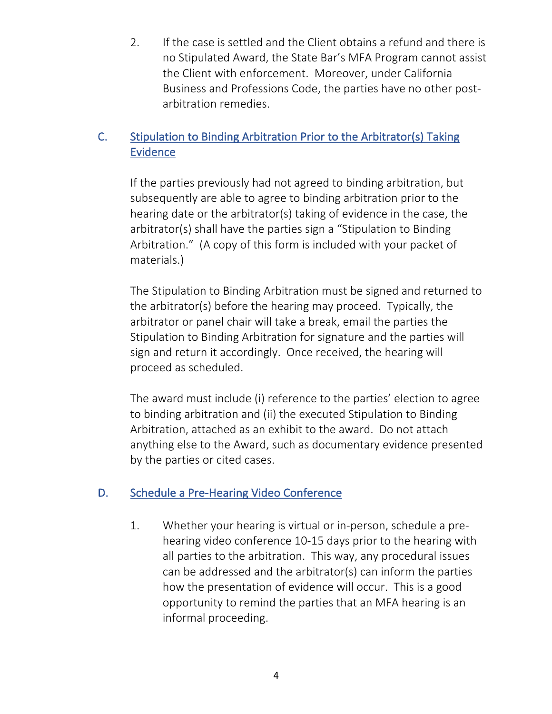2. If the case is settled and the Client obtains a refund and there is no Stipulated Award, the State Bar's MFA Program cannot assist the Client with enforcement. Moreover, under California Business and Professions Code, the parties have no other postarbitration remedies.

### C. Stipulation to Binding Arbitration Prior to the Arbitrator(s) Taking **Evidence**

If the parties previously had not agreed to binding arbitration, but subsequently are able to agree to binding arbitration prior to the hearing date or the arbitrator(s) taking of evidence in the case, the arbitrator(s) shall have the parties sign a "Stipulation to Binding Arbitration." (A copy of this form is included with your packet of materials.)

The Stipulation to Binding Arbitration must be signed and returned to the arbitrator(s) before the hearing may proceed. Typically, the arbitrator or panel chair will take a break, email the parties the Stipulation to Binding Arbitration for signature and the parties will sign and return it accordingly. Once received, the hearing will proceed as scheduled.

The award must include (i) reference to the parties' election to agree to binding arbitration and (ii) the executed Stipulation to Binding Arbitration, attached as an exhibit to the award. Do not attach anything else to the Award, such as documentary evidence presented by the parties or cited cases.

### D. Schedule a Pre-Hearing Video Conference

1. Whether your hearing is virtual or in-person, schedule a prehearing video conference 10-15 days prior to the hearing with all parties to the arbitration. This way, any procedural issues can be addressed and the arbitrator(s) can inform the parties how the presentation of evidence will occur. This is a good opportunity to remind the parties that an MFA hearing is an informal proceeding.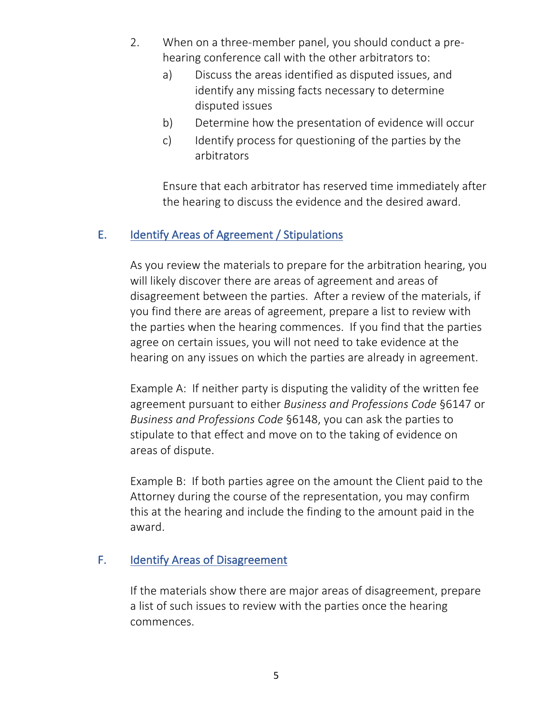- 2. When on a three-member panel, you should conduct a prehearing conference call with the other arbitrators to:
	- a) Discuss the areas identified as disputed issues, and identify any missing facts necessary to determine disputed issues
	- b) Determine how the presentation of evidence will occur
	- c) Identify process for questioning of the parties by the arbitrators

Ensure that each arbitrator has reserved time immediately after the hearing to discuss the evidence and the desired award.

#### E. Identify Areas of Agreement / Stipulations

As you review the materials to prepare for the arbitration hearing, you will likely discover there are areas of agreement and areas of disagreement between the parties. After a review of the materials, if you find there are areas of agreement, prepare a list to review with the parties when the hearing commences. If you find that the parties agree on certain issues, you will not need to take evidence at the hearing on any issues on which the parties are already in agreement.

Example A: If neither party is disputing the validity of the written fee agreement pursuant to either *Business and Professions Code* §6147 or *Business and Professions Code* §6148, you can ask the parties to stipulate to that effect and move on to the taking of evidence on areas of dispute.

Example B: If both parties agree on the amount the Client paid to the Attorney during the course of the representation, you may confirm this at the hearing and include the finding to the amount paid in the award.

#### F. Identify Areas of Disagreement

If the materials show there are major areas of disagreement, prepare a list of such issues to review with the parties once the hearing commences.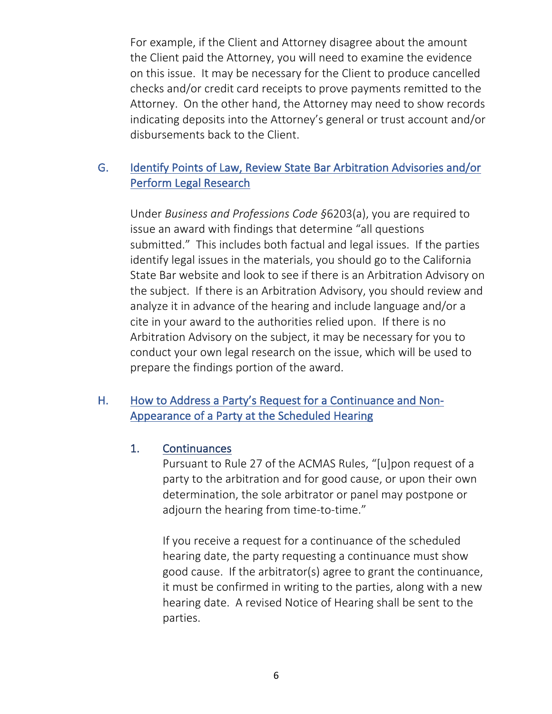For example, if the Client and Attorney disagree about the amount the Client paid the Attorney, you will need to examine the evidence on this issue. It may be necessary for the Client to produce cancelled checks and/or credit card receipts to prove payments remitted to the Attorney. On the other hand, the Attorney may need to show records indicating deposits into the Attorney's general or trust account and/or disbursements back to the Client.

### G. Identify Points of Law, Review State Bar Arbitration Advisories and/or Perform Legal Research

Under *Business and Professions Code §*6203(a), you are required to issue an award with findings that determine "all questions submitted." This includes both factual and legal issues. If the parties identify legal issues in the materials, you should go to the California State Bar website and look to see if there is an Arbitration Advisory on the subject. If there is an Arbitration Advisory, you should review and analyze it in advance of the hearing and include language and/or a cite in your award to the authorities relied upon. If there is no Arbitration Advisory on the subject, it may be necessary for you to conduct your own legal research on the issue, which will be used to prepare the findings portion of the award.

### H. How to Address a Party's Request for a Continuance and Non-Appearance of a Party at the Scheduled Hearing

#### 1. Continuances

Pursuant to Rule 27 of the ACMAS Rules, "[u]pon request of a party to the arbitration and for good cause, or upon their own determination, the sole arbitrator or panel may postpone or adjourn the hearing from time-to-time."

If you receive a request for a continuance of the scheduled hearing date, the party requesting a continuance must show good cause. If the arbitrator(s) agree to grant the continuance, it must be confirmed in writing to the parties, along with a new hearing date. A revised Notice of Hearing shall be sent to the parties.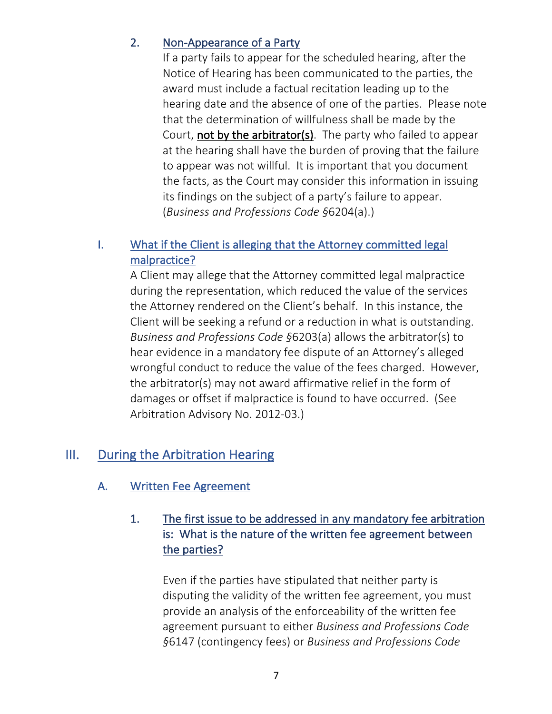### 2. Non-Appearance of a Party

If a party fails to appear for the scheduled hearing, after the Notice of Hearing has been communicated to the parties, the award must include a factual recitation leading up to the hearing date and the absence of one of the parties. Please note that the determination of willfulness shall be made by the Court, not by the arbitrator(s). The party who failed to appear at the hearing shall have the burden of proving that the failure to appear was not willful. It is important that you document the facts, as the Court may consider this information in issuing its findings on the subject of a party's failure to appear. (*Business and Professions Code §*6204(a).)

### I. What if the Client is alleging that the Attorney committed legal malpractice?

A Client may allege that the Attorney committed legal malpractice during the representation, which reduced the value of the services the Attorney rendered on the Client's behalf. In this instance, the Client will be seeking a refund or a reduction in what is outstanding. *Business and Professions Code §*6203(a) allows the arbitrator(s) to hear evidence in a mandatory fee dispute of an Attorney's alleged wrongful conduct to reduce the value of the fees charged. However, the arbitrator(s) may not award affirmative relief in the form of damages or offset if malpractice is found to have occurred. (See Arbitration Advisory No. 2012-03.)

# III. During the Arbitration Hearing

### A. Written Fee Agreement

### 1. The first issue to be addressed in any mandatory fee arbitration is: What is the nature of the written fee agreement between the parties?

Even if the parties have stipulated that neither party is disputing the validity of the written fee agreement, you must provide an analysis of the enforceability of the written fee agreement pursuant to either *Business and Professions Code §*6147 (contingency fees) or *Business and Professions Code*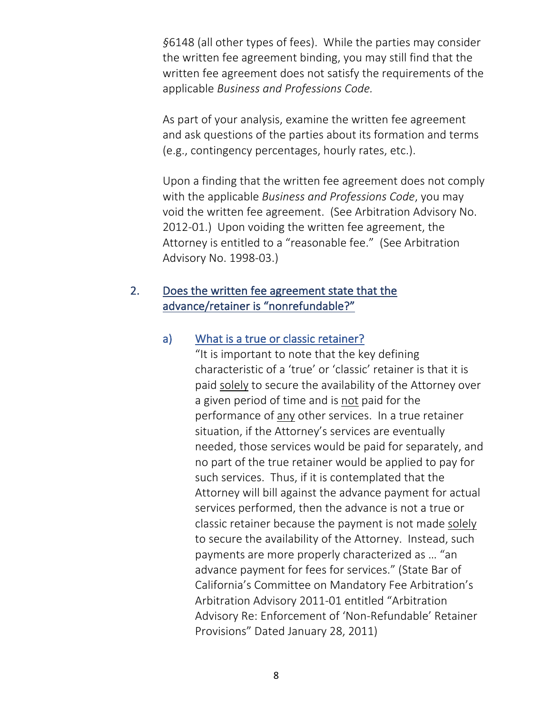*§*6148 (all other types of fees). While the parties may consider the written fee agreement binding, you may still find that the written fee agreement does not satisfy the requirements of the applicable *Business and Professions Code.*

As part of your analysis, examine the written fee agreement and ask questions of the parties about its formation and terms (e.g., contingency percentages, hourly rates, etc.).

Upon a finding that the written fee agreement does not comply with the applicable *Business and Professions Code*, you may void the written fee agreement. (See Arbitration Advisory No. 2012-01.) Upon voiding the written fee agreement, the Attorney is entitled to a "reasonable fee." (See Arbitration Advisory No. 1998-03.)

#### 2. Does the written fee agreement state that the advance/retainer is "nonrefundable?"

#### a) What is a true or classic retainer?

"It is important to note that the key defining characteristic of a 'true' or 'classic' retainer is that it is paid solely to secure the availability of the Attorney over a given period of time and is not paid for the performance of any other services. In a true retainer situation, if the Attorney's services are eventually needed, those services would be paid for separately, and no part of the true retainer would be applied to pay for such services. Thus, if it is contemplated that the Attorney will bill against the advance payment for actual services performed, then the advance is not a true or classic retainer because the payment is not made solely to secure the availability of the Attorney. Instead, such payments are more properly characterized as … "an advance payment for fees for services." (State Bar of California's Committee on Mandatory Fee Arbitration's Arbitration Advisory 2011-01 entitled "Arbitration Advisory Re: Enforcement of 'Non-Refundable' Retainer Provisions" Dated January 28, 2011)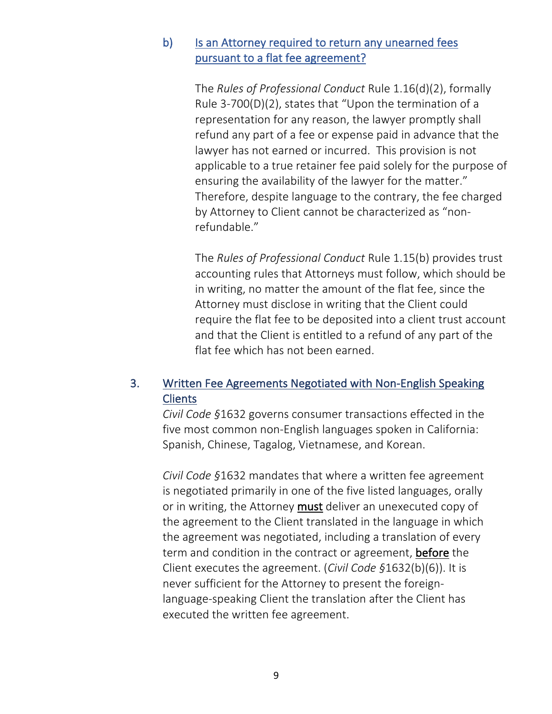#### b) Is an Attorney required to return any unearned fees pursuant to a flat fee agreement?

The *Rules of Professional Conduct* Rule 1.16(d)(2), formally Rule 3-700(D)(2), states that "Upon the termination of a representation for any reason, the lawyer promptly shall refund any part of a fee or expense paid in advance that the lawyer has not earned or incurred. This provision is not applicable to a true retainer fee paid solely for the purpose of ensuring the availability of the lawyer for the matter." Therefore, despite language to the contrary, the fee charged by Attorney to Client cannot be characterized as "nonrefundable."

The *Rules of Professional Conduct* Rule 1.15(b) provides trust accounting rules that Attorneys must follow, which should be in writing, no matter the amount of the flat fee, since the Attorney must disclose in writing that the Client could require the flat fee to be deposited into a client trust account and that the Client is entitled to a refund of any part of the flat fee which has not been earned.

### 3. Written Fee Agreements Negotiated with Non-English Speaking **Clients**

*Civil Code §*1632 governs consumer transactions effected in the five most common non-English languages spoken in California: Spanish, Chinese, Tagalog, Vietnamese, and Korean.

*Civil Code §*1632 mandates that where a written fee agreement is negotiated primarily in one of the five listed languages, orally or in writing, the Attorney must deliver an unexecuted copy of the agreement to the Client translated in the language in which the agreement was negotiated, including a translation of every term and condition in the contract or agreement, before the Client executes the agreement. (*Civil Code §*1632(b)(6)). It is never sufficient for the Attorney to present the foreignlanguage-speaking Client the translation after the Client has executed the written fee agreement.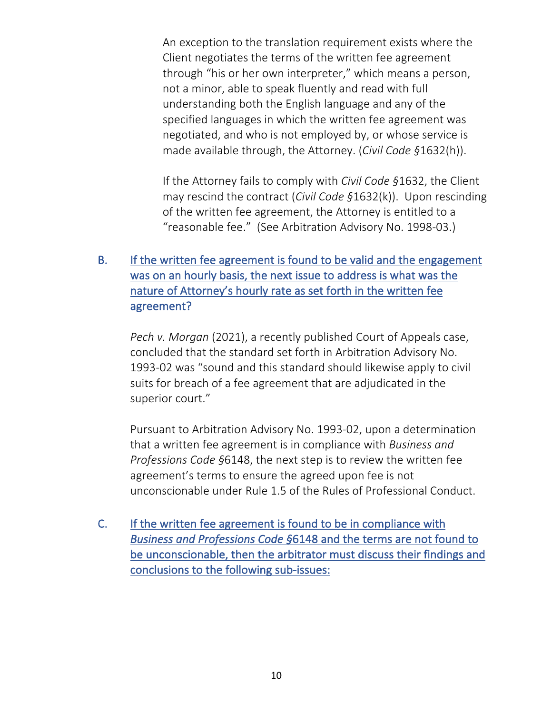An exception to the translation requirement exists where the Client negotiates the terms of the written fee agreement through "his or her own interpreter," which means a person, not a minor, able to speak fluently and read with full understanding both the English language and any of the specified languages in which the written fee agreement was negotiated, and who is not employed by, or whose service is made available through, the Attorney. (*Civil Code §*1632(h)).

If the Attorney fails to comply with *Civil Code §*1632, the Client may rescind the contract (*Civil Code §*1632(k)). Upon rescinding of the written fee agreement, the Attorney is entitled to a "reasonable fee." (See Arbitration Advisory No. 1998-03.)

### B. If the written fee agreement is found to be valid and the engagement was on an hourly basis, the next issue to address is what was the nature of Attorney's hourly rate as set forth in the written fee agreement?

*Pech v. Morgan* (2021), a recently published Court of Appeals case, concluded that the standard set forth in Arbitration Advisory No. 1993-02 was "sound and this standard should likewise apply to civil suits for breach of a fee agreement that are adjudicated in the superior court."

Pursuant to Arbitration Advisory No. 1993-02, upon a determination that a written fee agreement is in compliance with *Business and Professions Code §*6148, the next step is to review the written fee agreement's terms to ensure the agreed upon fee is not unconscionable under Rule 1.5 of the Rules of Professional Conduct.

C. If the written fee agreement is found to be in compliance with *Business and Professions Code §*6148 and the terms are not found to be unconscionable, then the arbitrator must discuss their findings and conclusions to the following sub-issues: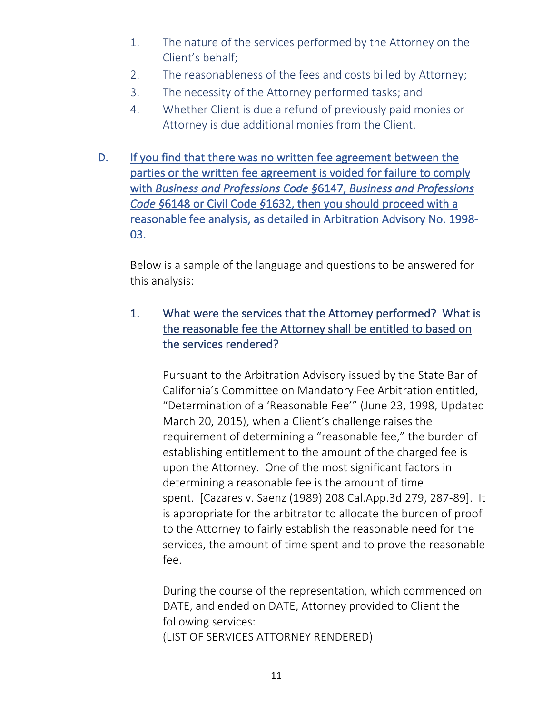- 1. The nature of the services performed by the Attorney on the Client's behalf;
- 2. The reasonableness of the fees and costs billed by Attorney;
- 3. The necessity of the Attorney performed tasks; and
- 4. Whether Client is due a refund of previously paid monies or Attorney is due additional monies from the Client.
- D. If you find that there was no written fee agreement between the parties or the written fee agreement is voided for failure to comply with *Business and Professions Code §*6147, *Business and Professions Code §*6148 or Civil Code *§*1632, then you should proceed with a reasonable fee analysis, as detailed in Arbitration Advisory No. 1998- 03.

Below is a sample of the language and questions to be answered for this analysis:

### 1. What were the services that the Attorney performed? What is the reasonable fee the Attorney shall be entitled to based on the services rendered?

Pursuant to the Arbitration Advisory issued by the State Bar of California's Committee on Mandatory Fee Arbitration entitled, "Determination of a 'Reasonable Fee'" (June 23, 1998, Updated March 20, 2015), when a Client's challenge raises the requirement of determining a "reasonable fee," the burden of establishing entitlement to the amount of the charged fee is upon the Attorney. One of the most significant factors in determining a reasonable fee is the amount of time spent. [Cazares v. Saenz (1989) 208 Cal.App.3d 279, 287-89]. It is appropriate for the arbitrator to allocate the burden of proof to the Attorney to fairly establish the reasonable need for the services, the amount of time spent and to prove the reasonable fee.

During the course of the representation, which commenced on DATE, and ended on DATE, Attorney provided to Client the following services: (LIST OF SERVICES ATTORNEY RENDERED)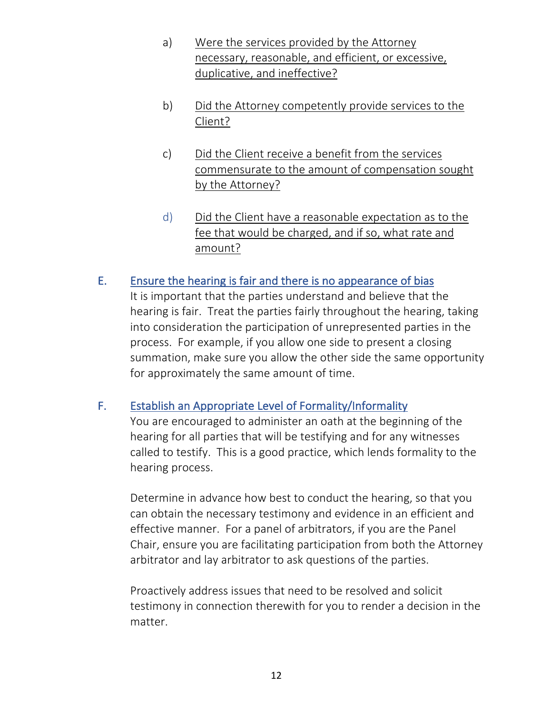- a) Were the services provided by the Attorney necessary, reasonable, and efficient, or excessive, duplicative, and ineffective?
- b) Did the Attorney competently provide services to the Client?
- c) Did the Client receive a benefit from the services commensurate to the amount of compensation sought by the Attorney?
- d) Did the Client have a reasonable expectation as to the fee that would be charged, and if so, what rate and amount?

#### E. Ensure the hearing is fair and there is no appearance of bias

It is important that the parties understand and believe that the hearing is fair. Treat the parties fairly throughout the hearing, taking into consideration the participation of unrepresented parties in the process. For example, if you allow one side to present a closing summation, make sure you allow the other side the same opportunity for approximately the same amount of time.

### F. Establish an Appropriate Level of Formality/Informality

You are encouraged to administer an oath at the beginning of the hearing for all parties that will be testifying and for any witnesses called to testify. This is a good practice, which lends formality to the hearing process.

Determine in advance how best to conduct the hearing, so that you can obtain the necessary testimony and evidence in an efficient and effective manner. For a panel of arbitrators, if you are the Panel Chair, ensure you are facilitating participation from both the Attorney arbitrator and lay arbitrator to ask questions of the parties.

Proactively address issues that need to be resolved and solicit testimony in connection therewith for you to render a decision in the matter.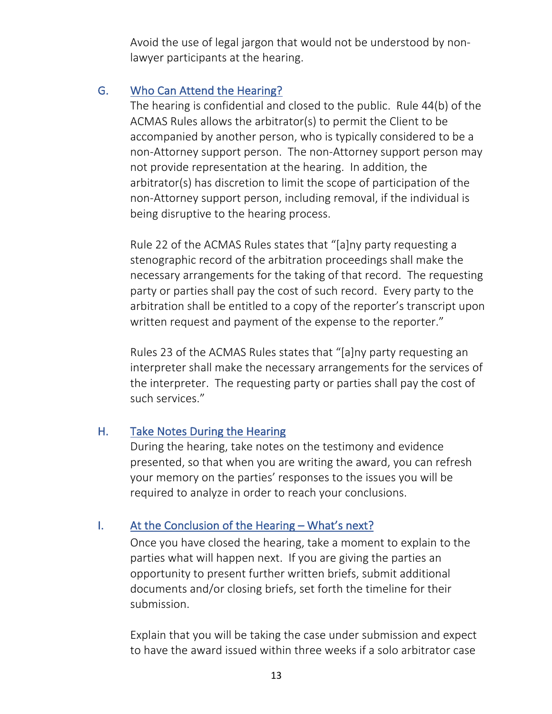Avoid the use of legal jargon that would not be understood by nonlawyer participants at the hearing.

#### G. Who Can Attend the Hearing?

The hearing is confidential and closed to the public. Rule 44(b) of the ACMAS Rules allows the arbitrator(s) to permit the Client to be accompanied by another person, who is typically considered to be a non-Attorney support person. The non-Attorney support person may not provide representation at the hearing. In addition, the arbitrator(s) has discretion to limit the scope of participation of the non-Attorney support person, including removal, if the individual is being disruptive to the hearing process.

Rule 22 of the ACMAS Rules states that "[a]ny party requesting a stenographic record of the arbitration proceedings shall make the necessary arrangements for the taking of that record. The requesting party or parties shall pay the cost of such record. Every party to the arbitration shall be entitled to a copy of the reporter's transcript upon written request and payment of the expense to the reporter."

Rules 23 of the ACMAS Rules states that "[a]ny party requesting an interpreter shall make the necessary arrangements for the services of the interpreter. The requesting party or parties shall pay the cost of such services."

#### H. Take Notes During the Hearing

During the hearing, take notes on the testimony and evidence presented, so that when you are writing the award, you can refresh your memory on the parties' responses to the issues you will be required to analyze in order to reach your conclusions.

### I. At the Conclusion of the Hearing – What's next?

Once you have closed the hearing, take a moment to explain to the parties what will happen next. If you are giving the parties an opportunity to present further written briefs, submit additional documents and/or closing briefs, set forth the timeline for their submission.

Explain that you will be taking the case under submission and expect to have the award issued within three weeks if a solo arbitrator case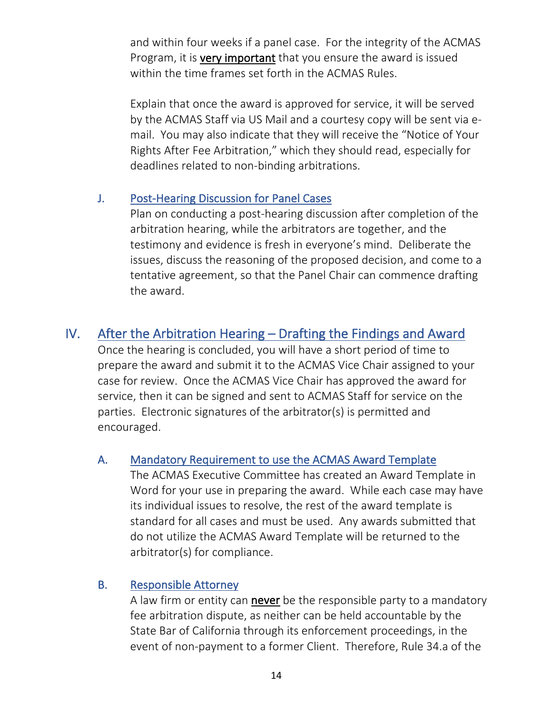and within four weeks if a panel case. For the integrity of the ACMAS Program, it is very important that you ensure the award is issued within the time frames set forth in the ACMAS Rules.

Explain that once the award is approved for service, it will be served by the ACMAS Staff via US Mail and a courtesy copy will be sent via email. You may also indicate that they will receive the "Notice of Your Rights After Fee Arbitration," which they should read, especially for deadlines related to non-binding arbitrations.

#### J. Post-Hearing Discussion for Panel Cases

Plan on conducting a post-hearing discussion after completion of the arbitration hearing, while the arbitrators are together, and the testimony and evidence is fresh in everyone's mind. Deliberate the issues, discuss the reasoning of the proposed decision, and come to a tentative agreement, so that the Panel Chair can commence drafting the award.

# IV. After the Arbitration Hearing – Drafting the Findings and Award

Once the hearing is concluded, you will have a short period of time to prepare the award and submit it to the ACMAS Vice Chair assigned to your case for review. Once the ACMAS Vice Chair has approved the award for service, then it can be signed and sent to ACMAS Staff for service on the parties. Electronic signatures of the arbitrator(s) is permitted and encouraged.

### A. Mandatory Requirement to use the ACMAS Award Template

The ACMAS Executive Committee has created an Award Template in Word for your use in preparing the award. While each case may have its individual issues to resolve, the rest of the award template is standard for all cases and must be used. Any awards submitted that do not utilize the ACMAS Award Template will be returned to the arbitrator(s) for compliance.

### B. Responsible Attorney

A law firm or entity can **never** be the responsible party to a mandatory fee arbitration dispute, as neither can be held accountable by the State Bar of California through its enforcement proceedings, in the event of non-payment to a former Client. Therefore, Rule 34.a of the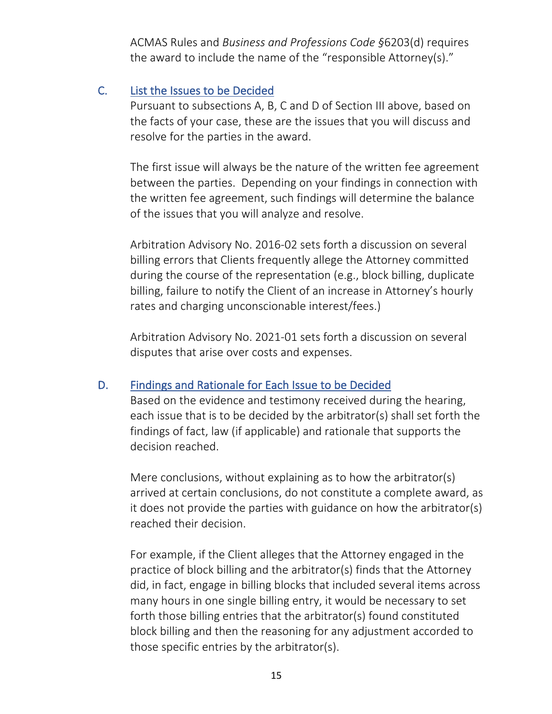ACMAS Rules and *Business and Professions Code §*6203(d) requires the award to include the name of the "responsible Attorney(s)."

#### C. List the Issues to be Decided

Pursuant to subsections A, B, C and D of Section III above, based on the facts of your case, these are the issues that you will discuss and resolve for the parties in the award.

The first issue will always be the nature of the written fee agreement between the parties. Depending on your findings in connection with the written fee agreement, such findings will determine the balance of the issues that you will analyze and resolve.

Arbitration Advisory No. 2016-02 sets forth a discussion on several billing errors that Clients frequently allege the Attorney committed during the course of the representation (e.g., block billing, duplicate billing, failure to notify the Client of an increase in Attorney's hourly rates and charging unconscionable interest/fees.)

Arbitration Advisory No. 2021-01 sets forth a discussion on several disputes that arise over costs and expenses.

### D. Findings and Rationale for Each Issue to be Decided

Based on the evidence and testimony received during the hearing, each issue that is to be decided by the arbitrator(s) shall set forth the findings of fact, law (if applicable) and rationale that supports the decision reached.

Mere conclusions, without explaining as to how the arbitrator(s) arrived at certain conclusions, do not constitute a complete award, as it does not provide the parties with guidance on how the arbitrator(s) reached their decision.

For example, if the Client alleges that the Attorney engaged in the practice of block billing and the arbitrator(s) finds that the Attorney did, in fact, engage in billing blocks that included several items across many hours in one single billing entry, it would be necessary to set forth those billing entries that the arbitrator(s) found constituted block billing and then the reasoning for any adjustment accorded to those specific entries by the arbitrator(s).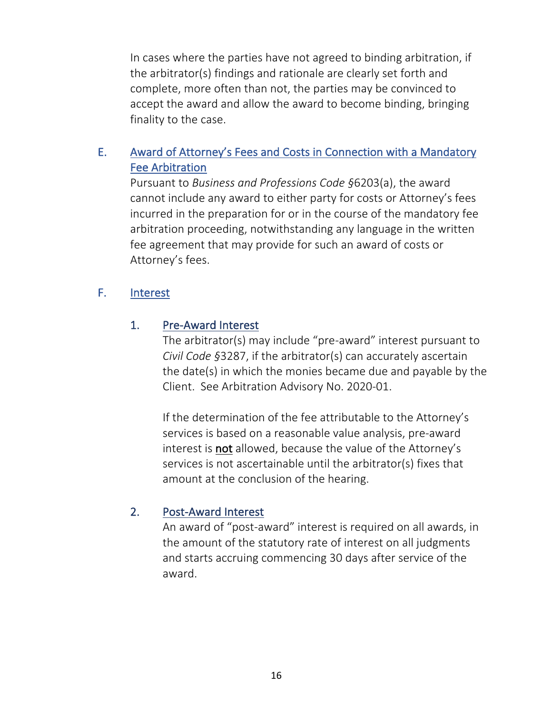In cases where the parties have not agreed to binding arbitration, if the arbitrator(s) findings and rationale are clearly set forth and complete, more often than not, the parties may be convinced to accept the award and allow the award to become binding, bringing finality to the case.

### E. Award of Attorney's Fees and Costs in Connection with a Mandatory Fee Arbitration

Pursuant to *Business and Professions Code §*6203(a), the award cannot include any award to either party for costs or Attorney's fees incurred in the preparation for or in the course of the mandatory fee arbitration proceeding, notwithstanding any language in the written fee agreement that may provide for such an award of costs or Attorney's fees.

#### F. Interest

#### 1. Pre-Award Interest

The arbitrator(s) may include "pre-award" interest pursuant to *Civil Code §*3287, if the arbitrator(s) can accurately ascertain the date(s) in which the monies became due and payable by the Client. See Arbitration Advisory No. 2020-01.

If the determination of the fee attributable to the Attorney's services is based on a reasonable value analysis, pre-award interest is not allowed, because the value of the Attorney's services is not ascertainable until the arbitrator(s) fixes that amount at the conclusion of the hearing.

#### 2. Post-Award Interest

An award of "post-award" interest is required on all awards, in the amount of the statutory rate of interest on all judgments and starts accruing commencing 30 days after service of the award.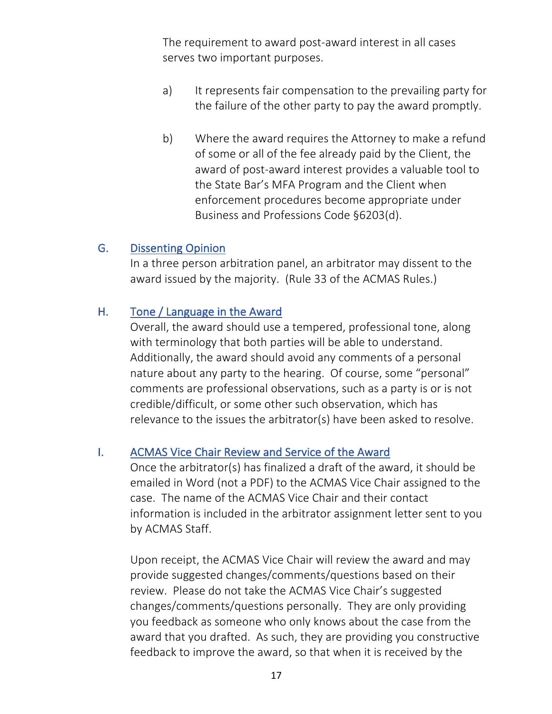The requirement to award post-award interest in all cases serves two important purposes.

- a) It represents fair compensation to the prevailing party for the failure of the other party to pay the award promptly.
- b) Where the award requires the Attorney to make a refund of some or all of the fee already paid by the Client, the award of post-award interest provides a valuable tool to the State Bar's MFA Program and the Client when enforcement procedures become appropriate under Business and Professions Code §6203(d).

#### G. Dissenting Opinion

In a three person arbitration panel, an arbitrator may dissent to the award issued by the majority. (Rule 33 of the ACMAS Rules.)

#### H. Tone / Language in the Award

Overall, the award should use a tempered, professional tone, along with terminology that both parties will be able to understand. Additionally, the award should avoid any comments of a personal nature about any party to the hearing. Of course, some "personal" comments are professional observations, such as a party is or is not credible/difficult, or some other such observation, which has relevance to the issues the arbitrator(s) have been asked to resolve.

#### I. ACMAS Vice Chair Review and Service of the Award

Once the arbitrator(s) has finalized a draft of the award, it should be emailed in Word (not a PDF) to the ACMAS Vice Chair assigned to the case. The name of the ACMAS Vice Chair and their contact information is included in the arbitrator assignment letter sent to you by ACMAS Staff.

Upon receipt, the ACMAS Vice Chair will review the award and may provide suggested changes/comments/questions based on their review. Please do not take the ACMAS Vice Chair's suggested changes/comments/questions personally. They are only providing you feedback as someone who only knows about the case from the award that you drafted. As such, they are providing you constructive feedback to improve the award, so that when it is received by the